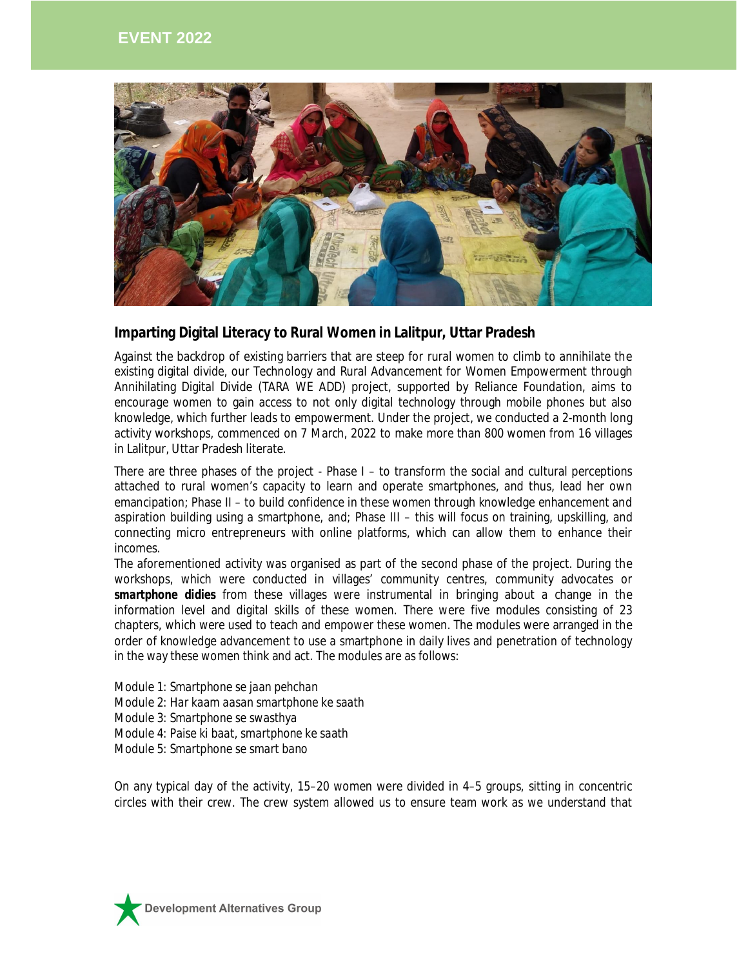

## **Imparting Digital Literacy to Rural Women in Lalitpur, Uttar Pradesh**

Against the backdrop of existing barriers that are steep for rural women to climb to annihilate the existing digital divide, our Technology and Rural Advancement for Women Empowerment through Annihilating Digital Divide (TARA WE ADD) project, supported by Reliance Foundation, aims to encourage women to gain access to not only digital technology through mobile phones but also knowledge, which further leads to empowerment. Under the project, we conducted a 2-month long activity workshops, commenced on 7 March, 2022 to make more than 800 women from 16 villages in Lalitpur, Uttar Pradesh literate.

There are three phases of the project - Phase I – to transform the social and cultural perceptions attached to rural women's capacity to learn and operate smartphones, and thus, lead her own emancipation; Phase II – to build confidence in these women through knowledge enhancement and aspiration building using a smartphone, and; Phase III – this will focus on training, upskilling, and connecting micro entrepreneurs with online platforms, which can allow them to enhance their incomes.

The aforementioned activity was organised as part of the second phase of the project. During the workshops, which were conducted in villages' community centres, community advocates or *smartphone didies* from these villages were instrumental in bringing about a change in the information level and digital skills of these women. There were five modules consisting of 23 chapters, which were used to teach and empower these women. The modules were arranged in the order of knowledge advancement to use a smartphone in daily lives and penetration of technology in the way these women think and act. The modules are as follows:

Module 1: *Smartphone se jaan pehchan* Module 2: *Har kaam aasan smartphone ke saath*  Module 3: *Smartphone se swasthya* Module 4*: Paise ki baat, smartphone ke saath* Module 5: *Smartphone se smart bano*

On any typical day of the activity, 15–20 women were divided in 4–5 groups, sitting in concentric circles with their crew. The crew system allowed us to ensure team work as we understand that